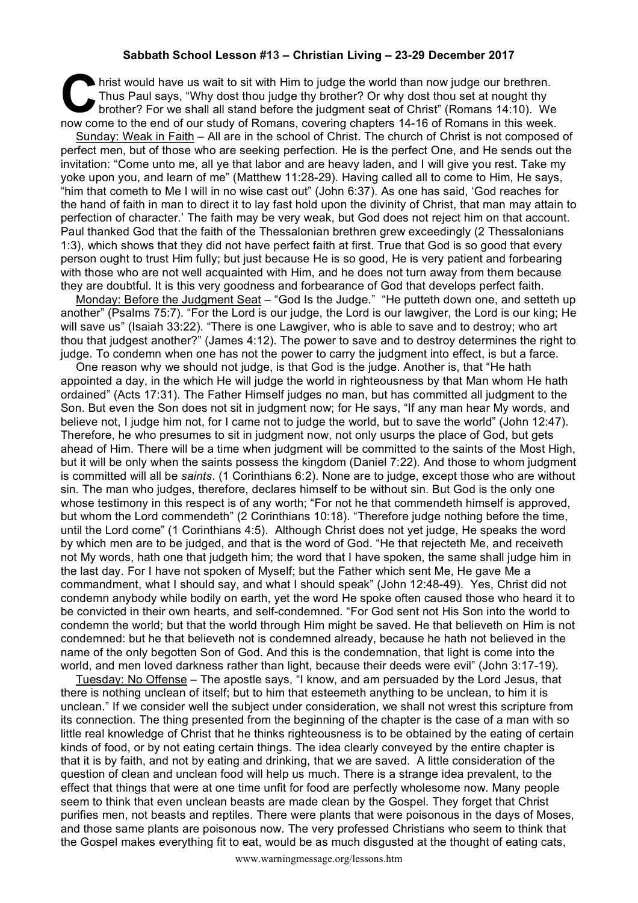## **Sabbath School Lesson #13 – Christian Living – 23-29 December 2017**

If hrist would have us wait to sit with Him to judge the world than now judge our brethren. Thus Paul says, "Why dost thou judge thy brother? Or why dost thou set at nought thy brother? For we shall all stand before the judgment seat of Christ" (Romans 14:10). We hrist would have us wait to sit with Him to judge the world than now judge our brethren.<br>Thus Paul says, "Why dost thou judge thy brother? Or why dost thou set at nought thy<br>brother? For we shall all stand before the judgm

Sunday: Weak in Faith – All are in the school of Christ. The church of Christ is not composed of perfect men, but of those who are seeking perfection. He is the perfect One, and He sends out the invitation: "Come unto me, all ye that labor and are heavy laden, and I will give you rest. Take my yoke upon you, and learn of me" (Matthew 11:28-29). Having called all to come to Him, He says, "him that cometh to Me I will in no wise cast out" (John 6:37). As one has said, 'God reaches for the hand of faith in man to direct it to lay fast hold upon the divinity of Christ, that man may attain to perfection of character.' The faith may be very weak, but God does not reject him on that account. Paul thanked God that the faith of the Thessalonian brethren grew exceedingly (2 Thessalonians 1:3), which shows that they did not have perfect faith at first. True that God is so good that every person ought to trust Him fully; but just because He is so good, He is very patient and forbearing with those who are not well acquainted with Him, and he does not turn away from them because they are doubtful. It is this very goodness and forbearance of God that develops perfect faith.

Monday: Before the Judgment Seat – "God Is the Judge." "He putteth down one, and setteth up another" (Psalms 75:7). "For the Lord is our judge, the Lord is our lawgiver, the Lord is our king; He will save us" (Isaiah 33:22). "There is one Lawgiver, who is able to save and to destroy; who art thou that judgest another?" (James 4:12). The power to save and to destroy determines the right to judge. To condemn when one has not the power to carry the judgment into effect, is but a farce.

One reason why we should not judge, is that God is the judge. Another is, that "He hath appointed a day, in the which He will judge the world in righteousness by that Man whom He hath ordained" (Acts 17:31). The Father Himself judges no man, but has committed all judgment to the Son. But even the Son does not sit in judgment now; for He says, "If any man hear My words, and believe not, I judge him not, for I came not to judge the world, but to save the world" (John 12:47). Therefore, he who presumes to sit in judgment now, not only usurps the place of God, but gets ahead of Him. There will be a time when judgment will be committed to the saints of the Most High, but it will be only when the saints possess the kingdom (Daniel 7:22). And those to whom judgment is committed will all be *saints*. (1 Corinthians 6:2). None are to judge, except those who are without sin. The man who judges, therefore, declares himself to be without sin. But God is the only one whose testimony in this respect is of any worth; "For not he that commendeth himself is approved, but whom the Lord commendeth" (2 Corinthians 10:18). "Therefore judge nothing before the time, until the Lord come" (1 Corinthians 4:5). Although Christ does not yet judge, He speaks the word by which men are to be judged, and that is the word of God. "He that rejecteth Me, and receiveth not My words, hath one that judgeth him; the word that I have spoken, the same shall judge him in the last day. For I have not spoken of Myself; but the Father which sent Me, He gave Me a commandment, what I should say, and what I should speak" (John 12:48-49). Yes, Christ did not condemn anybody while bodily on earth, yet the word He spoke often caused those who heard it to be convicted in their own hearts, and self-condemned. "For God sent not His Son into the world to condemn the world; but that the world through Him might be saved. He that believeth on Him is not condemned: but he that believeth not is condemned already, because he hath not believed in the name of the only begotten Son of God. And this is the condemnation, that light is come into the world, and men loved darkness rather than light, because their deeds were evil" (John 3:17-19).

Tuesday: No Offense – The apostle says, "I know, and am persuaded by the Lord Jesus, that there is nothing unclean of itself; but to him that esteemeth anything to be unclean, to him it is unclean." If we consider well the subject under consideration, we shall not wrest this scripture from its connection. The thing presented from the beginning of the chapter is the case of a man with so little real knowledge of Christ that he thinks righteousness is to be obtained by the eating of certain kinds of food, or by not eating certain things. The idea clearly conveyed by the entire chapter is that it is by faith, and not by eating and drinking, that we are saved. A little consideration of the question of clean and unclean food will help us much. There is a strange idea prevalent, to the effect that things that were at one time unfit for food are perfectly wholesome now. Many people seem to think that even unclean beasts are made clean by the Gospel. They forget that Christ purifies men, not beasts and reptiles. There were plants that were poisonous in the days of Moses, and those same plants are poisonous now. The very professed Christians who seem to think that the Gospel makes everything fit to eat, would be as much disgusted at the thought of eating cats,